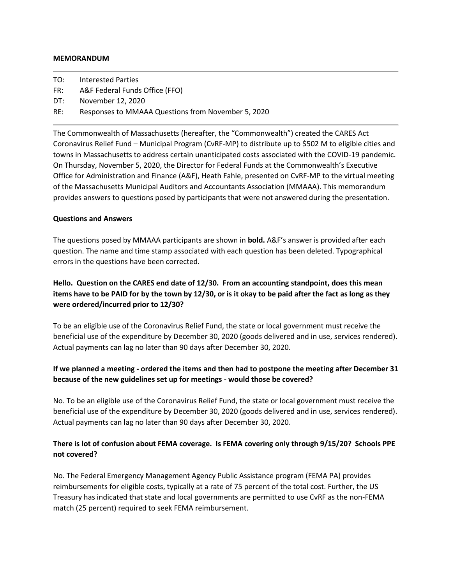#### **MEMORANDUM**

- TO: Interested Parties
- FR: A&F Federal Funds Office (FFO)
- DT: November 12, 2020
- RE: Responses to MMAAA Questions from November 5, 2020

The Commonwealth of Massachusetts (hereafter, the "Commonwealth") created the CARES Act Coronavirus Relief Fund – Municipal Program (CvRF-MP) to distribute up to \$502 M to eligible cities and towns in Massachusetts to address certain unanticipated costs associated with the COVID-19 pandemic. On Thursday, November 5, 2020, the Director for Federal Funds at the Commonwealth's Executive Office for Administration and Finance (A&F), Heath Fahle, presented on CvRF-MP to the virtual meeting of the Massachusetts Municipal Auditors and Accountants Association (MMAAA). This memorandum provides answers to questions posed by participants that were not answered during the presentation.

#### **Questions and Answers**

The questions posed by MMAAA participants are shown in **bold.** A&F's answer is provided after each question. The name and time stamp associated with each question has been deleted. Typographical errors in the questions have been corrected.

# **Hello. Question on the CARES end date of 12/30. From an accounting standpoint, does this mean items have to be PAID for by the town by 12/30, or is it okay to be paid after the fact as long as they were ordered/incurred prior to 12/30?**

To be an eligible use of the Coronavirus Relief Fund, the state or local government must receive the beneficial use of the expenditure by December 30, 2020 (goods delivered and in use, services rendered). Actual payments can lag no later than 90 days after December 30, 2020.

# **If we planned a meeting - ordered the items and then had to postpone the meeting after December 31 because of the new guidelines set up for meetings - would those be covered?**

No. To be an eligible use of the Coronavirus Relief Fund, the state or local government must receive the beneficial use of the expenditure by December 30, 2020 (goods delivered and in use, services rendered). Actual payments can lag no later than 90 days after December 30, 2020.

## **There is lot of confusion about FEMA coverage. Is FEMA covering only through 9/15/20? Schools PPE not covered?**

No. The Federal Emergency Management Agency Public Assistance program (FEMA PA) provides reimbursements for eligible costs, typically at a rate of 75 percent of the total cost. Further, the US Treasury has indicated that state and local governments are permitted to use CvRF as the non-FEMA match (25 percent) required to seek FEMA reimbursement.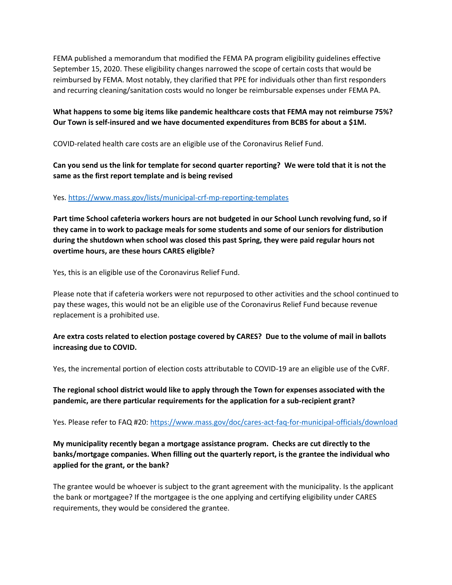FEMA published a memorandum that modified the FEMA PA program eligibility guidelines effective September 15, 2020. These eligibility changes narrowed the scope of certain costs that would be reimbursed by FEMA. Most notably, they clarified that PPE for individuals other than first responders and recurring cleaning/sanitation costs would no longer be reimbursable expenses under FEMA PA.

## **What happens to some big items like pandemic healthcare costs that FEMA may not reimburse 75%? Our Town is self-insured and we have documented expenditures from BCBS for about a \$1M.**

COVID-related health care costs are an eligible use of the Coronavirus Relief Fund.

# **Can you send us the link for template for second quarter reporting? We were told that it is not the same as the first report template and is being revised**

## Yes[. https://www.mass.gov/lists/municipal-crf-mp-reporting-templates](https://www.mass.gov/lists/municipal-crf-mp-reporting-templates)

**Part time School cafeteria workers hours are not budgeted in our School Lunch revolving fund, so if they came in to work to package meals for some students and some of our seniors for distribution during the shutdown when school was closed this past Spring, they were paid regular hours not overtime hours, are these hours CARES eligible?**

Yes, this is an eligible use of the Coronavirus Relief Fund.

Please note that if cafeteria workers were not repurposed to other activities and the school continued to pay these wages, this would not be an eligible use of the Coronavirus Relief Fund because revenue replacement is a prohibited use.

# **Are extra costs related to election postage covered by CARES? Due to the volume of mail in ballots increasing due to COVID.**

Yes, the incremental portion of election costs attributable to COVID-19 are an eligible use of the CvRF.

# **The regional school district would like to apply through the Town for expenses associated with the pandemic, are there particular requirements for the application for a sub-recipient grant?**

Yes. Please refer to FAQ #20:<https://www.mass.gov/doc/cares-act-faq-for-municipal-officials/download>

# **My municipality recently began a mortgage assistance program. Checks are cut directly to the banks/mortgage companies. When filling out the quarterly report, is the grantee the individual who applied for the grant, or the bank?**

The grantee would be whoever is subject to the grant agreement with the municipality. Is the applicant the bank or mortgagee? If the mortgagee is the one applying and certifying eligibility under CARES requirements, they would be considered the grantee.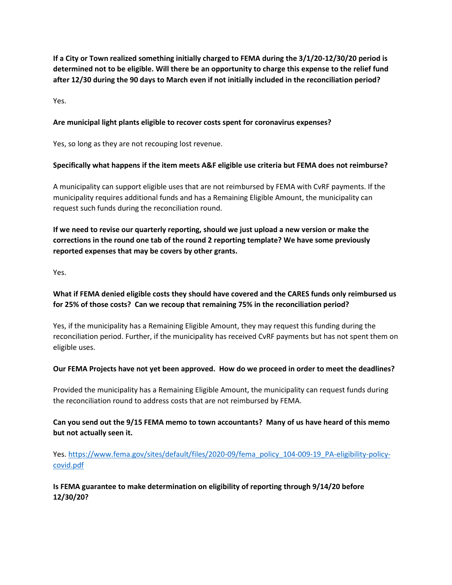**If a City or Town realized something initially charged to FEMA during the 3/1/20-12/30/20 period is determined not to be eligible. Will there be an opportunity to charge this expense to the relief fund after 12/30 during the 90 days to March even if not initially included in the reconciliation period?**

Yes.

## **Are municipal light plants eligible to recover costs spent for coronavirus expenses?**

Yes, so long as they are not recouping lost revenue.

## **Specifically what happens if the item meets A&F eligible use criteria but FEMA does not reimburse?**

A municipality can support eligible uses that are not reimbursed by FEMA with CvRF payments. If the municipality requires additional funds and has a Remaining Eligible Amount, the municipality can request such funds during the reconciliation round.

**If we need to revise our quarterly reporting, should we just upload a new version or make the corrections in the round one tab of the round 2 reporting template? We have some previously reported expenses that may be covers by other grants.**

Yes.

# **What if FEMA denied eligible costs they should have covered and the CARES funds only reimbursed us for 25% of those costs? Can we recoup that remaining 75% in the reconciliation period?**

Yes, if the municipality has a Remaining Eligible Amount, they may request this funding during the reconciliation period. Further, if the municipality has received CvRF payments but has not spent them on eligible uses.

### **Our FEMA Projects have not yet been approved. How do we proceed in order to meet the deadlines?**

Provided the municipality has a Remaining Eligible Amount, the municipality can request funds during the reconciliation round to address costs that are not reimbursed by FEMA.

**Can you send out the 9/15 FEMA memo to town accountants? Many of us have heard of this memo but not actually seen it.**

Yes[. https://www.fema.gov/sites/default/files/2020-09/fema\\_policy\\_104-009-19\\_PA-eligibility-policy](https://www.fema.gov/sites/default/files/2020-09/fema_policy_104-009-19_PA-eligibility-policy-covid.pdf)[covid.pdf](https://www.fema.gov/sites/default/files/2020-09/fema_policy_104-009-19_PA-eligibility-policy-covid.pdf)

## **Is FEMA guarantee to make determination on eligibility of reporting through 9/14/20 before 12/30/20?**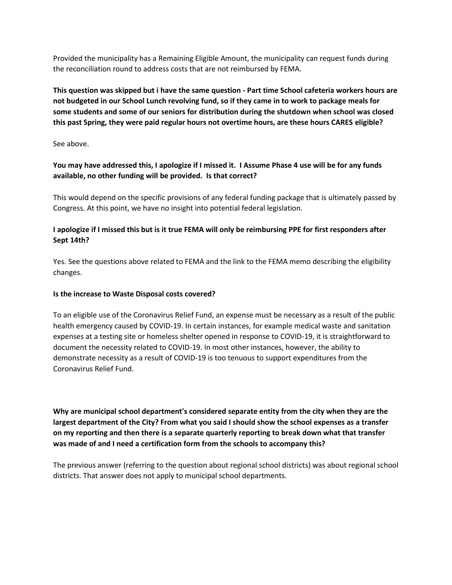Provided the municipality has a Remaining Eligible Amount, the municipality can request funds during the reconciliation round to address costs that are not reimbursed by FEMA.

**This question was skipped but i have the same question - Part time School cafeteria workers hours are not budgeted in our School Lunch revolving fund, so if they came in to work to package meals for some students and some of our seniors for distribution during the shutdown when school was closed this past Spring, they were paid regular hours not overtime hours, are these hours CARES eligible?**

See above.

**You may have addressed this, I apologize if I missed it. I Assume Phase 4 use will be for any funds available, no other funding will be provided. Is that correct?**

This would depend on the specific provisions of any federal funding package that is ultimately passed by Congress. At this point, we have no insight into potential federal legislation.

## **I apologize if I missed this but is it true FEMA will only be reimbursing PPE for first responders after Sept 14th?**

Yes. See the questions above related to FEMA and the link to the FEMA memo describing the eligibility changes.

### **Is the increase to Waste Disposal costs covered?**

To an eligible use of the Coronavirus Relief Fund, an expense must be necessary as a result of the public health emergency caused by COVID-19. In certain instances, for example medical waste and sanitation expenses at a testing site or homeless shelter opened in response to COVID-19, it is straightforward to document the necessity related to COVID-19. In most other instances, however, the ability to demonstrate necessity as a result of COVID-19 is too tenuous to support expenditures from the Coronavirus Relief Fund.

**Why are municipal school department's considered separate entity from the city when they are the largest department of the City? From what you said I should show the school expenses as a transfer on my reporting and then there is a separate quarterly reporting to break down what that transfer was made of and I need a certification form from the schools to accompany this?**

The previous answer (referring to the question about regional school districts) was about regional school districts. That answer does not apply to municipal school departments.